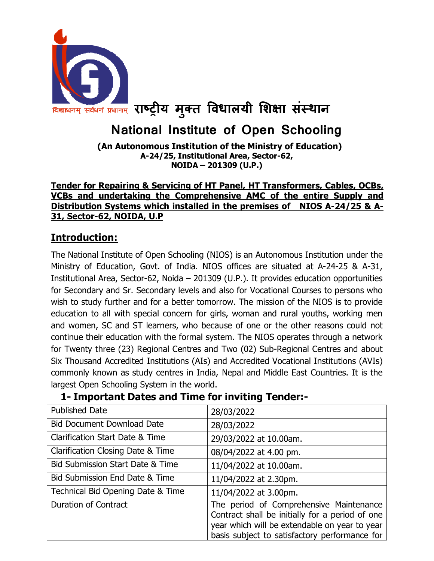

# National Institute of Open Schooling

 (An Autonomous Institution of the Ministry of Education) A-24/25, Institutional Area, Sector-62, NOIDA – 201309 (U.P.)

#### Tender for Repairing & Servicing of HT Panel, HT Transformers, Cables, OCBs, VCBs and undertaking the Comprehensive AMC of the entire Supply and Distribution Systems which installed in the premises of NIOS A-24/25 & A-31, Sector-62, NOIDA, U.P

### Introduction:

The National Institute of Open Schooling (NIOS) is an Autonomous Institution under the Ministry of Education, Govt. of India. NIOS offices are situated at A-24-25 & A-31, Institutional Area, Sector-62, Noida – 201309 (U.P.). It provides education opportunities for Secondary and Sr. Secondary levels and also for Vocational Courses to persons who wish to study further and for a better tomorrow. The mission of the NIOS is to provide education to all with special concern for girls, woman and rural youths, working men and women, SC and ST learners, who because of one or the other reasons could not continue their education with the formal system. The NIOS operates through a network for Twenty three (23) Regional Centres and Two (02) Sub-Regional Centres and about Six Thousand Accredited Institutions (AIs) and Accredited Vocational Institutions (AVIs) commonly known as study centres in India, Nepal and Middle East Countries. It is the largest Open Schooling System in the world.

# 1- Important Dates and Time for inviting Tender:-

| <b>Published Date</b>             | 28/03/2022                                                                                                                                                                                   |
|-----------------------------------|----------------------------------------------------------------------------------------------------------------------------------------------------------------------------------------------|
| <b>Bid Document Download Date</b> | 28/03/2022                                                                                                                                                                                   |
| Clarification Start Date & Time   | 29/03/2022 at 10.00am.                                                                                                                                                                       |
| Clarification Closing Date & Time | 08/04/2022 at 4.00 pm.                                                                                                                                                                       |
| Bid Submission Start Date & Time  | 11/04/2022 at 10.00am.                                                                                                                                                                       |
| Bid Submission End Date & Time    | 11/04/2022 at 2.30pm.                                                                                                                                                                        |
| Technical Bid Opening Date & Time | 11/04/2022 at 3.00pm.                                                                                                                                                                        |
| <b>Duration of Contract</b>       | The period of Comprehensive Maintenance<br>Contract shall be initially for a period of one<br>year which will be extendable on year to year<br>basis subject to satisfactory performance for |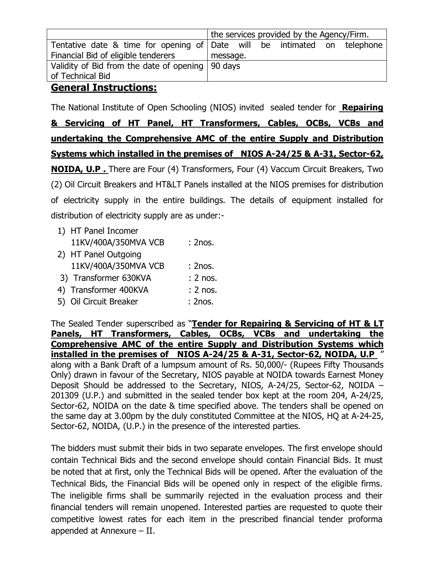|                                                                          | the services provided by the Agency/Firm. |  |  |  |  |
|--------------------------------------------------------------------------|-------------------------------------------|--|--|--|--|
| Tentative date & time for opening of Date will be intimated on telephone |                                           |  |  |  |  |
| Financial Bid of eligible tenderers                                      | message.                                  |  |  |  |  |
| Validity of Bid from the date of opening   90 days                       |                                           |  |  |  |  |
| of Technical Bid                                                         |                                           |  |  |  |  |
|                                                                          |                                           |  |  |  |  |

#### General Instructions:

The National Institute of Open Schooling (NIOS) invited sealed tender for Repairing & Servicing of HT Panel, HT Transformers, Cables, OCBs, VCBs and undertaking the Comprehensive AMC of the entire Supply and Distribution Systems which installed in the premises of NIOS A-24/25 & A-31, Sector-62, NOIDA, U.P . There are Four (4) Transformers, Four (4) Vaccum Circuit Breakers, Two (2) Oil Circuit Breakers and HT&LT Panels installed at the NIOS premises for distribution of electricity supply in the entire buildings. The details of equipment installed for distribution of electricity supply are as under:-

- 1) HT Panel Incomer 11KV/400A/350MVA VCB : 2nos. 2) HT Panel Outgoing
- 11KV/400A/350MVA VCB : 2nos. 3) Transformer 630KVA : 2 nos. 4) Transformer 400KVA : 2 nos. 5) Oil Circuit Breaker : 2nos.

The Sealed Tender superscribed as "Tender for Repairing & Servicing of HT & LT Panels, HT Transformers, Cables, OCBs, VCBs and undertaking the Comprehensive AMC of the entire Supply and Distribution Systems which installed in the premises of NIOS A-24/25 & A-31, Sector-62, NOIDA, U.P " along with a Bank Draft of a lumpsum amount of Rs. 50,000/- (Rupees Fifty Thousands Only) drawn in favour of the Secretary, NIOS payable at NOIDA towards Earnest Money Deposit Should be addressed to the Secretary, NIOS, A-24/25, Sector-62, NOIDA – 201309 (U.P.) and submitted in the sealed tender box kept at the room 204, A-24/25, Sector-62, NOIDA on the date & time specified above. The tenders shall be opened on the same day at 3.00pm by the duly constituted Committee at the NIOS, HQ at A-24-25, Sector-62, NOIDA, (U.P.) in the presence of the interested parties.

The bidders must submit their bids in two separate envelopes. The first envelope should contain Technical Bids and the second envelope should contain Financial Bids. It must be noted that at first, only the Technical Bids will be opened. After the evaluation of the Technical Bids, the Financial Bids will be opened only in respect of the eligible firms. The ineligible firms shall be summarily rejected in the evaluation process and their financial tenders will remain unopened. Interested parties are requested to quote their competitive lowest rates for each item in the prescribed financial tender proforma appended at Annexure – II.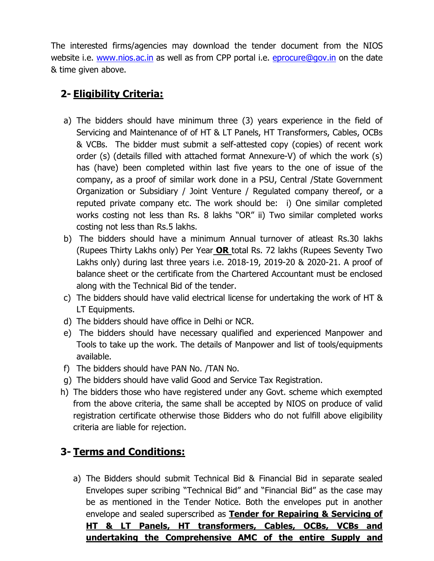The interested firms/agencies may download the tender document from the NIOS website i.e. www.nios.ac.in as well as from CPP portal i.e. eprocure@gov.in on the date & time given above.

## 2- Eligibility Criteria:

- a) The bidders should have minimum three (3) years experience in the field of Servicing and Maintenance of of HT & LT Panels, HT Transformers, Cables, OCBs & VCBs. The bidder must submit a self-attested copy (copies) of recent work order (s) (details filled with attached format Annexure-V) of which the work (s) has (have) been completed within last five years to the one of issue of the company, as a proof of similar work done in a PSU, Central /State Government Organization or Subsidiary / Joint Venture / Regulated company thereof, or a reputed private company etc. The work should be: i) One similar completed works costing not less than Rs. 8 lakhs "OR" ii) Two similar completed works costing not less than Rs.5 lakhs.
- b) The bidders should have a minimum Annual turnover of atleast Rs.30 lakhs (Rupees Thirty Lakhs only) Per Year OR total Rs. 72 lakhs (Rupees Seventy Two Lakhs only) during last three years i.e. 2018-19, 2019-20 & 2020-21. A proof of balance sheet or the certificate from the Chartered Accountant must be enclosed along with the Technical Bid of the tender.
- c) The bidders should have valid electrical license for undertaking the work of HT & LT Equipments.
- d) The bidders should have office in Delhi or NCR.
- e) The bidders should have necessary qualified and experienced Manpower and Tools to take up the work. The details of Manpower and list of tools/equipments available.
- f) The bidders should have PAN No. /TAN No.
- g) The bidders should have valid Good and Service Tax Registration.
- h) The bidders those who have registered under any Govt. scheme which exempted from the above criteria, the same shall be accepted by NIOS on produce of valid registration certificate otherwise those Bidders who do not fulfill above eligibility criteria are liable for rejection.

# 3- Terms and Conditions:

a) The Bidders should submit Technical Bid & Financial Bid in separate sealed Envelopes super scribing "Technical Bid" and "Financial Bid" as the case may be as mentioned in the Tender Notice. Both the envelopes put in another envelope and sealed superscribed as Tender for Repairing & Servicing of HT & LT Panels, HT transformers, Cables, OCBs, VCBs and undertaking the Comprehensive AMC of the entire Supply and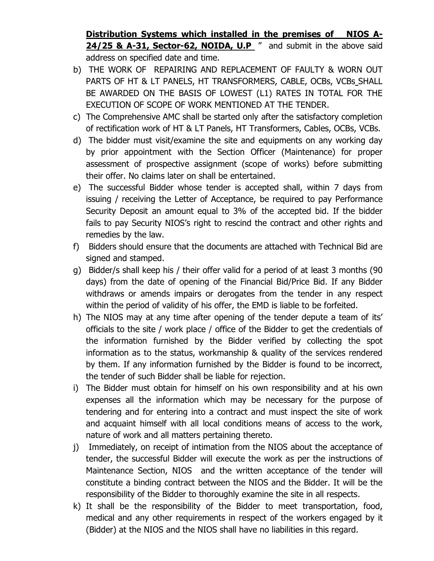Distribution Systems which installed in the premises of NIOS A-24/25 & A-31, Sector-62, NOIDA, U.P " and submit in the above said address on specified date and time.

- b) THE WORK OF REPAIRING AND REPLACEMENT OF FAULTY & WORN OUT PARTS OF HT & LT PANELS, HT TRANSFORMERS, CABLE, OCBs, VCBs\_SHALL BE AWARDED ON THE BASIS OF LOWEST (L1) RATES IN TOTAL FOR THE EXECUTION OF SCOPE OF WORK MENTIONED AT THE TENDER.
- c) The Comprehensive AMC shall be started only after the satisfactory completion of rectification work of HT & LT Panels, HT Transformers, Cables, OCBs, VCBs.
- d) The bidder must visit/examine the site and equipments on any working day by prior appointment with the Section Officer (Maintenance) for proper assessment of prospective assignment (scope of works) before submitting their offer. No claims later on shall be entertained.
- e) The successful Bidder whose tender is accepted shall, within 7 days from issuing / receiving the Letter of Acceptance, be required to pay Performance Security Deposit an amount equal to 3% of the accepted bid. If the bidder fails to pay Security NIOS's right to rescind the contract and other rights and remedies by the law.
- f) Bidders should ensure that the documents are attached with Technical Bid are signed and stamped.
- g) Bidder/s shall keep his / their offer valid for a period of at least 3 months (90 days) from the date of opening of the Financial Bid/Price Bid. If any Bidder withdraws or amends impairs or derogates from the tender in any respect within the period of validity of his offer, the EMD is liable to be forfeited.
- h) The NIOS may at any time after opening of the tender depute a team of its' officials to the site / work place / office of the Bidder to get the credentials of the information furnished by the Bidder verified by collecting the spot information as to the status, workmanship & quality of the services rendered by them. If any information furnished by the Bidder is found to be incorrect, the tender of such Bidder shall be liable for rejection.
- i) The Bidder must obtain for himself on his own responsibility and at his own expenses all the information which may be necessary for the purpose of tendering and for entering into a contract and must inspect the site of work and acquaint himself with all local conditions means of access to the work, nature of work and all matters pertaining thereto.
- j) Immediately, on receipt of intimation from the NIOS about the acceptance of tender, the successful Bidder will execute the work as per the instructions of Maintenance Section, NIOS and the written acceptance of the tender will constitute a binding contract between the NIOS and the Bidder. It will be the responsibility of the Bidder to thoroughly examine the site in all respects.
- k) It shall be the responsibility of the Bidder to meet transportation, food, medical and any other requirements in respect of the workers engaged by it (Bidder) at the NIOS and the NIOS shall have no liabilities in this regard.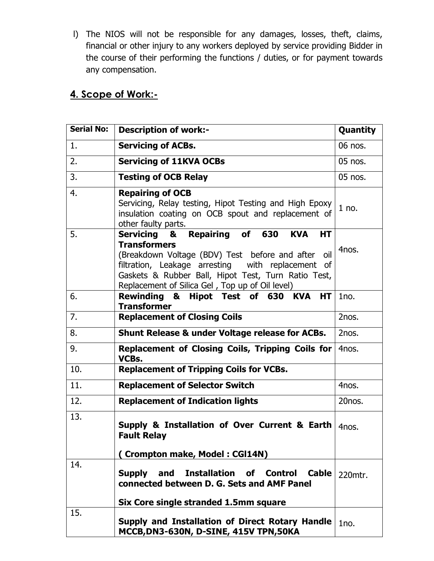l) The NIOS will not be responsible for any damages, losses, theft, claims, financial or other injury to any workers deployed by service providing Bidder in the course of their performing the functions / duties, or for payment towards any compensation.

### 4. Scope of Work:-

| <b>Serial No:</b> | <b>Description of work:-</b>                                                                                                                                                                                                                                                                              | Quantity  |
|-------------------|-----------------------------------------------------------------------------------------------------------------------------------------------------------------------------------------------------------------------------------------------------------------------------------------------------------|-----------|
| 1.                | <b>Servicing of ACBs.</b>                                                                                                                                                                                                                                                                                 | 06 nos.   |
| 2.                | <b>Servicing of 11KVA OCBs</b>                                                                                                                                                                                                                                                                            | $05$ nos. |
| 3.                | <b>Testing of OCB Relay</b>                                                                                                                                                                                                                                                                               | $05$ nos. |
| 4.                | <b>Repairing of OCB</b><br>Servicing, Relay testing, Hipot Testing and High Epoxy<br>insulation coating on OCB spout and replacement of<br>other faulty parts.                                                                                                                                            | $1$ no.   |
| 5.                | Repairing of 630<br>Servicing &<br><b>KVA</b><br><b>HT</b><br><b>Transformers</b><br>(Breakdown Voltage (BDV) Test before and after<br>oil<br>filtration, Leakage arresting with replacement of<br>Gaskets & Rubber Ball, Hipot Test, Turn Ratio Test,<br>Replacement of Silica Gel, Top up of Oil level) | 4nos.     |
| 6.                | Rewinding & Hipot Test of 630 KVA<br>HT I<br><b>Transformer</b>                                                                                                                                                                                                                                           | 1no.      |
| 7.                | <b>Replacement of Closing Coils</b>                                                                                                                                                                                                                                                                       | 2nos.     |
| 8.                | <b>Shunt Release &amp; under Voltage release for ACBs.</b>                                                                                                                                                                                                                                                | 2nos.     |
| 9.                | Replacement of Closing Coils, Tripping Coils for<br>VCBs.                                                                                                                                                                                                                                                 | 4nos.     |
| 10.               | <b>Replacement of Tripping Coils for VCBs.</b>                                                                                                                                                                                                                                                            |           |
| 11.               | <b>Replacement of Selector Switch</b>                                                                                                                                                                                                                                                                     | 4nos.     |
| 12.               | <b>Replacement of Indication lights</b>                                                                                                                                                                                                                                                                   | 20nos.    |
| 13.               | Supply & Installation of Over Current & Earth<br><b>Fault Relay</b><br>(Crompton make, Model: CGI14N)                                                                                                                                                                                                     | 4nos.     |
| 14.               |                                                                                                                                                                                                                                                                                                           |           |
|                   | <b>Installation of Control</b><br>Supply and<br>Cable<br>connected between D. G. Sets and AMF Panel                                                                                                                                                                                                       | 220mtr.   |
| 15.               | Six Core single stranded 1.5mm square                                                                                                                                                                                                                                                                     |           |
|                   | Supply and Installation of Direct Rotary Handle<br>MCCB, DN3-630N, D-SINE, 415V TPN, 50KA                                                                                                                                                                                                                 | 1no.      |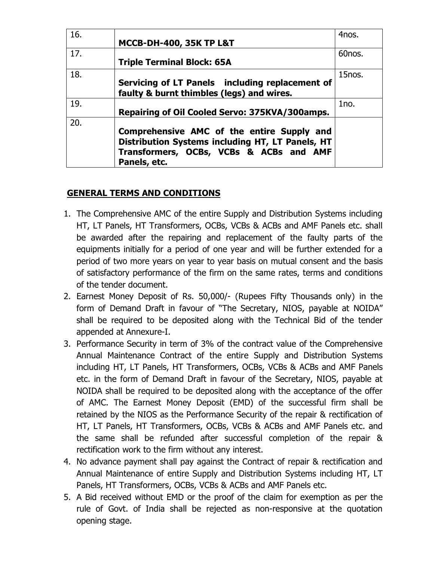| 16. | <b>MCCB-DH-400, 35K TP L&amp;T</b>                                                                                                                        | 4nos.               |
|-----|-----------------------------------------------------------------------------------------------------------------------------------------------------------|---------------------|
| 17. | <b>Triple Terminal Block: 65A</b>                                                                                                                         | 60 <sub>nos</sub> . |
| 18. | Servicing of LT Panels including replacement of<br>faulty & burnt thimbles (legs) and wires.                                                              | 15nos.              |
| 19. | Repairing of Oil Cooled Servo: 375KVA/300amps.                                                                                                            | 1no.                |
| 20. | Comprehensive AMC of the entire Supply and<br>Distribution Systems including HT, LT Panels, HT<br>Transformers, OCBs, VCBs & ACBs and AMF<br>Panels, etc. |                     |

#### GENERAL TERMS AND CONDITIONS

- 1. The Comprehensive AMC of the entire Supply and Distribution Systems including HT, LT Panels, HT Transformers, OCBs, VCBs & ACBs and AMF Panels etc. shall be awarded after the repairing and replacement of the faulty parts of the equipments initially for a period of one year and will be further extended for a period of two more years on year to year basis on mutual consent and the basis of satisfactory performance of the firm on the same rates, terms and conditions of the tender document.
- 2. Earnest Money Deposit of Rs. 50,000/- (Rupees Fifty Thousands only) in the form of Demand Draft in favour of "The Secretary, NIOS, payable at NOIDA" shall be required to be deposited along with the Technical Bid of the tender appended at Annexure-I.
- 3. Performance Security in term of 3% of the contract value of the Comprehensive Annual Maintenance Contract of the entire Supply and Distribution Systems including HT, LT Panels, HT Transformers, OCBs, VCBs & ACBs and AMF Panels etc. in the form of Demand Draft in favour of the Secretary, NIOS, payable at NOIDA shall be required to be deposited along with the acceptance of the offer of AMC. The Earnest Money Deposit (EMD) of the successful firm shall be retained by the NIOS as the Performance Security of the repair & rectification of HT, LT Panels, HT Transformers, OCBs, VCBs & ACBs and AMF Panels etc. and the same shall be refunded after successful completion of the repair & rectification work to the firm without any interest.
- 4. No advance payment shall pay against the Contract of repair & rectification and Annual Maintenance of entire Supply and Distribution Systems including HT, LT Panels, HT Transformers, OCBs, VCBs & ACBs and AMF Panels etc.
- 5. A Bid received without EMD or the proof of the claim for exemption as per the rule of Govt. of India shall be rejected as non-responsive at the quotation opening stage.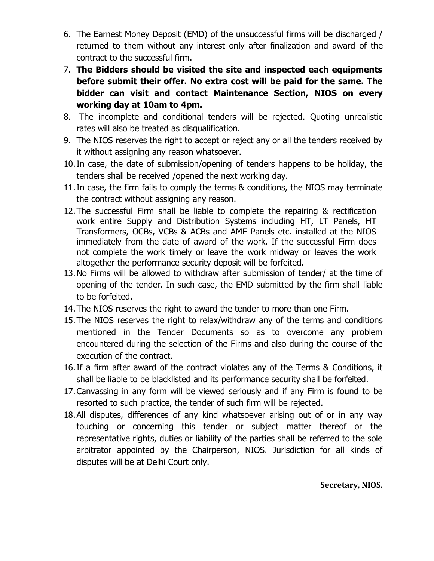- 6. The Earnest Money Deposit (EMD) of the unsuccessful firms will be discharged / returned to them without any interest only after finalization and award of the contract to the successful firm.
- 7. The Bidders should be visited the site and inspected each equipments before submit their offer. No extra cost will be paid for the same. The bidder can visit and contact Maintenance Section, NIOS on every working day at 10am to 4pm.
- 8. The incomplete and conditional tenders will be rejected. Quoting unrealistic rates will also be treated as disqualification.
- 9. The NIOS reserves the right to accept or reject any or all the tenders received by it without assigning any reason whatsoever.
- 10.In case, the date of submission/opening of tenders happens to be holiday, the tenders shall be received /opened the next working day.
- 11.In case, the firm fails to comply the terms & conditions, the NIOS may terminate the contract without assigning any reason.
- 12.The successful Firm shall be liable to complete the repairing & rectification work entire Supply and Distribution Systems including HT, LT Panels, HT Transformers, OCBs, VCBs & ACBs and AMF Panels etc. installed at the NIOS immediately from the date of award of the work. If the successful Firm does not complete the work timely or leave the work midway or leaves the work altogether the performance security deposit will be forfeited.
- 13.No Firms will be allowed to withdraw after submission of tender/ at the time of opening of the tender. In such case, the EMD submitted by the firm shall liable to be forfeited.
- 14.The NIOS reserves the right to award the tender to more than one Firm.
- 15.The NIOS reserves the right to relax/withdraw any of the terms and conditions mentioned in the Tender Documents so as to overcome any problem encountered during the selection of the Firms and also during the course of the execution of the contract.
- 16.If a firm after award of the contract violates any of the Terms & Conditions, it shall be liable to be blacklisted and its performance security shall be forfeited.
- 17.Canvassing in any form will be viewed seriously and if any Firm is found to be resorted to such practice, the tender of such firm will be rejected.
- 18.All disputes, differences of any kind whatsoever arising out of or in any way touching or concerning this tender or subject matter thereof or the representative rights, duties or liability of the parties shall be referred to the sole arbitrator appointed by the Chairperson, NIOS. Jurisdiction for all kinds of disputes will be at Delhi Court only.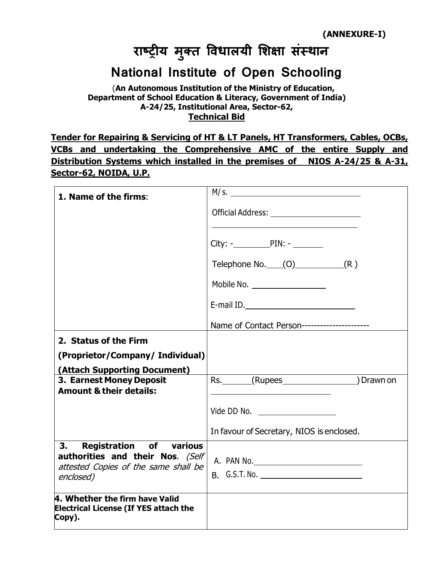# राष्ट्रीय मुक्त विधालयी शिक्षा संस्थान

# National Institute of Open Schooling

 (An Autonomous Institution of the Ministry of Education, Department of School Education & Literacy, Government of India) A-24/25, Institutional Area, Sector-62, Technical Bid

Tender for Repairing & Servicing of HT & LT Panels, HT Transformers, Cables, OCBs, VCBs and undertaking the Comprehensive AMC of the entire Supply and Distribution Systems which installed in the premises of NIOS A-24/25 & A-31, Sector-62, NOIDA, U.P.

| 1. Name of the firms:                                                                    |                                              |  |  |  |
|------------------------------------------------------------------------------------------|----------------------------------------------|--|--|--|
|                                                                                          |                                              |  |  |  |
|                                                                                          |                                              |  |  |  |
|                                                                                          | $City:  PIN: -$                              |  |  |  |
|                                                                                          | Telephone No. $(0)$ (R)                      |  |  |  |
|                                                                                          | Mobile No. <u>__________________</u>         |  |  |  |
|                                                                                          |                                              |  |  |  |
|                                                                                          | Name of Contact Person---------------------- |  |  |  |
| 2. Status of the Firm                                                                    |                                              |  |  |  |
| (Proprietor/Company/ Individual)                                                         |                                              |  |  |  |
| (Attach Supporting Document)                                                             |                                              |  |  |  |
| 3. Earnest Money Deposit<br><b>Amount &amp; their details:</b>                           | Rs. (Rupees Drawn on                         |  |  |  |
|                                                                                          | Vide DD No. ____________________             |  |  |  |
|                                                                                          | In favour of Secretary, NIOS is enclosed.    |  |  |  |
| <b>Registration of various</b><br>3.<br>authorities and their Nos. (Self                 |                                              |  |  |  |
| attested Copies of the same shall be<br>enclosed)                                        | B. G.S.T. No.                                |  |  |  |
| 4. Whether the firm have Valid<br><b>Electrical License (If YES attach the</b><br>Copy). |                                              |  |  |  |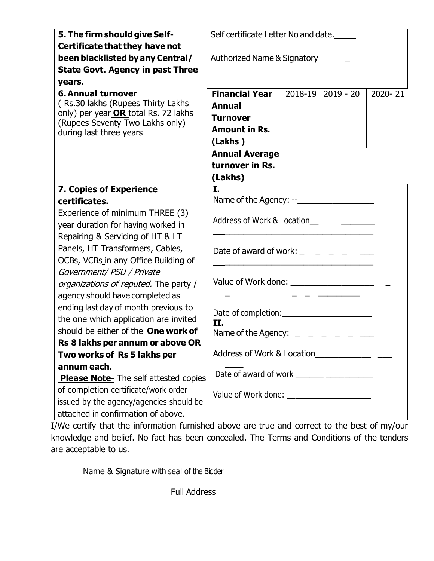| 5. The firm should give Self-                                           | Self certificate Letter No and date.                       |  |  |  |  |
|-------------------------------------------------------------------------|------------------------------------------------------------|--|--|--|--|
| Certificate that they have not                                          |                                                            |  |  |  |  |
| been blacklisted by any Central/                                        | Authorized Name & Signatory_______                         |  |  |  |  |
| <b>State Govt. Agency in past Three</b>                                 |                                                            |  |  |  |  |
| years.                                                                  |                                                            |  |  |  |  |
| <b>6. Annual turnover</b>                                               | <b>Financial Year</b><br>2018-19<br>$2019 - 20$<br>2020-21 |  |  |  |  |
| (Rs.30 lakhs (Rupees Thirty Lakhs                                       | <b>Annual</b>                                              |  |  |  |  |
| only) per year OR total Rs. 72 lakhs<br>(Rupees Seventy Two Lakhs only) | <b>Turnover</b>                                            |  |  |  |  |
| during last three years                                                 | <b>Amount in Rs.</b>                                       |  |  |  |  |
|                                                                         | (Lakhs)                                                    |  |  |  |  |
|                                                                         | <b>Annual Average</b>                                      |  |  |  |  |
|                                                                         | turnover in Rs.                                            |  |  |  |  |
|                                                                         | (Lakhs)                                                    |  |  |  |  |
| 7. Copies of Experience                                                 | I.                                                         |  |  |  |  |
| certificates.                                                           |                                                            |  |  |  |  |
| Experience of minimum THREE (3)                                         |                                                            |  |  |  |  |
| year duration for having worked in                                      | Address of Work & Location                                 |  |  |  |  |
| Repairing & Servicing of HT & LT                                        |                                                            |  |  |  |  |
| Panels, HT Transformers, Cables,                                        |                                                            |  |  |  |  |
| OCBs, VCBs in any Office Building of                                    |                                                            |  |  |  |  |
| Government/ PSU / Private                                               |                                                            |  |  |  |  |
| organizations of reputed. The party /                                   |                                                            |  |  |  |  |
| agency should have completed as                                         |                                                            |  |  |  |  |
| ending last day of month previous to                                    |                                                            |  |  |  |  |
| the one which application are invited                                   | II.                                                        |  |  |  |  |
| should be either of the One work of                                     |                                                            |  |  |  |  |
| Rs 8 lakhs per annum or above OR                                        |                                                            |  |  |  |  |
| Two works of Rs 5 lakhs per                                             | Address of Work & Location                                 |  |  |  |  |
| annum each.                                                             |                                                            |  |  |  |  |
| <b>Please Note-</b> The self attested copies                            |                                                            |  |  |  |  |
| of completion certificate/work order                                    |                                                            |  |  |  |  |
| issued by the agency/agencies should be                                 |                                                            |  |  |  |  |
| attached in confirmation of above.                                      |                                                            |  |  |  |  |

I/We certify that the information furnished above are true and correct to the best of my/our knowledge and belief. No fact has been concealed. The Terms and Conditions of the tenders are acceptable to us.

Name & Signature with seal of the Bidder

Full Address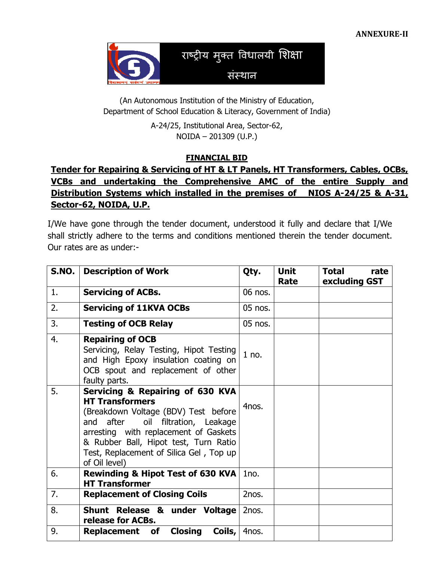

(An Autonomous Institution of the Ministry of Education, Department of School Education & Literacy, Government of India)

> A-24/25, Institutional Area, Sector-62, NOIDA – 201309 (U.P.)

#### FINANCIAL BID

### Tender for Repairing & Servicing of HT & LT Panels, HT Transformers, Cables, OCBs, VCBs and undertaking the Comprehensive AMC of the entire Supply and Distribution Systems which installed in the premises of NIOS A-24/25 & A-31, Sector-62, NOIDA, U.P.

I/We have gone through the tender document, understood it fully and declare that I/We shall strictly adhere to the terms and conditions mentioned therein the tender document. Our rates are as under:-

| S.NO. | <b>Description of Work</b>                                                                                                                                                                                                                                                               | Qty.    | <b>Unit</b><br>Rate | <b>Total</b><br>rate<br>excluding GST |
|-------|------------------------------------------------------------------------------------------------------------------------------------------------------------------------------------------------------------------------------------------------------------------------------------------|---------|---------------------|---------------------------------------|
| 1.    | <b>Servicing of ACBs.</b>                                                                                                                                                                                                                                                                | 06 nos. |                     |                                       |
| 2.    | <b>Servicing of 11KVA OCBs</b>                                                                                                                                                                                                                                                           | 05 nos. |                     |                                       |
| 3.    | <b>Testing of OCB Relay</b>                                                                                                                                                                                                                                                              | 05 nos. |                     |                                       |
| 4.    | <b>Repairing of OCB</b><br>Servicing, Relay Testing, Hipot Testing<br>and High Epoxy insulation coating on<br>OCB spout and replacement of other<br>faulty parts.                                                                                                                        | $1$ no. |                     |                                       |
| 5.    | Servicing & Repairing of 630 KVA<br><b>HT Transformers</b><br>(Breakdown Voltage (BDV) Test before<br>and after<br>oil filtration, Leakage<br>arresting with replacement of Gaskets<br>& Rubber Ball, Hipot test, Turn Ratio<br>Test, Replacement of Silica Gel, Top up<br>of Oil level) | 4nos.   |                     |                                       |
| 6.    | <b>Rewinding &amp; Hipot Test of 630 KVA</b><br><b>HT Transformer</b>                                                                                                                                                                                                                    | 1no.    |                     |                                       |
| 7.    | <b>Replacement of Closing Coils</b>                                                                                                                                                                                                                                                      | 2nos.   |                     |                                       |
| 8.    | Shunt Release & under Voltage<br>release for ACBs.                                                                                                                                                                                                                                       | 2nos.   |                     |                                       |
| 9.    | <b>Replacement of Closing</b><br>Coils,                                                                                                                                                                                                                                                  | 4nos.   |                     |                                       |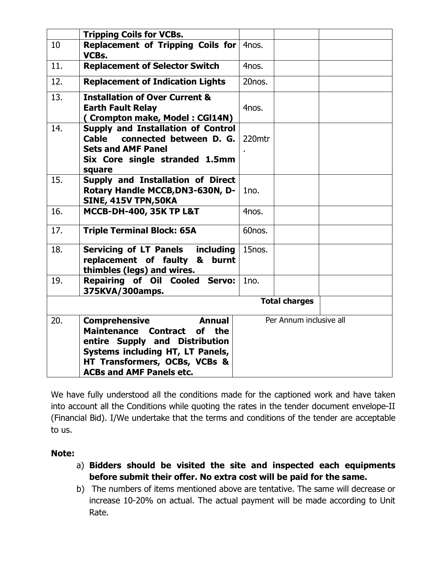|     | <b>Tripping Coils for VCBs.</b>                                                                                                                                                                                      |                      |                         |
|-----|----------------------------------------------------------------------------------------------------------------------------------------------------------------------------------------------------------------------|----------------------|-------------------------|
| 10  | Replacement of Tripping Coils for<br>VCBs.                                                                                                                                                                           | 4nos.                |                         |
| 11. | <b>Replacement of Selector Switch</b>                                                                                                                                                                                | 4nos.                |                         |
| 12. | <b>Replacement of Indication Lights</b>                                                                                                                                                                              | 20nos.               |                         |
| 13. | <b>Installation of Over Current &amp;</b><br><b>Earth Fault Relay</b><br>(Crompton make, Model: CGI14N)                                                                                                              | 4nos.                |                         |
| 14. | <b>Supply and Installation of Control</b><br>Cable<br>connected between D. G.<br><b>Sets and AMF Panel</b><br>Six Core single stranded 1.5mm<br>square                                                               | 220mtr               |                         |
| 15. | Supply and Installation of Direct<br>Rotary Handle MCCB, DN3-630N, D-<br><b>SINE, 415V TPN, 50KA</b>                                                                                                                 | 1no.                 |                         |
| 16. | <b>MCCB-DH-400, 35K TP L&amp;T</b>                                                                                                                                                                                   | 4nos.                |                         |
| 17. | <b>Triple Terminal Block: 65A</b>                                                                                                                                                                                    | 60nos.               |                         |
| 18. | <b>Servicing of LT Panels including</b><br>replacement of faulty &<br>burnt<br>thimbles (legs) and wires.                                                                                                            | 15nos.               |                         |
| 19. | Repairing of Oil Cooled Servo:<br>375KVA/300amps.                                                                                                                                                                    | 1no.                 |                         |
|     |                                                                                                                                                                                                                      | <b>Total charges</b> |                         |
| 20. | <b>Comprehensive</b><br>Annual<br><b>Maintenance Contract</b><br>of<br>the<br>entire Supply and Distribution<br>Systems including HT, LT Panels,<br>HT Transformers, OCBs, VCBs &<br><b>ACBs and AMF Panels etc.</b> |                      | Per Annum inclusive all |

We have fully understood all the conditions made for the captioned work and have taken into account all the Conditions while quoting the rates in the tender document envelope-II (Financial Bid). I/We undertake that the terms and conditions of the tender are acceptable to us.

#### Note:

- a) Bidders should be visited the site and inspected each equipments before submit their offer. No extra cost will be paid for the same.
- b) The numbers of items mentioned above are tentative. The same will decrease or increase 10-20% on actual. The actual payment will be made according to Unit Rate.